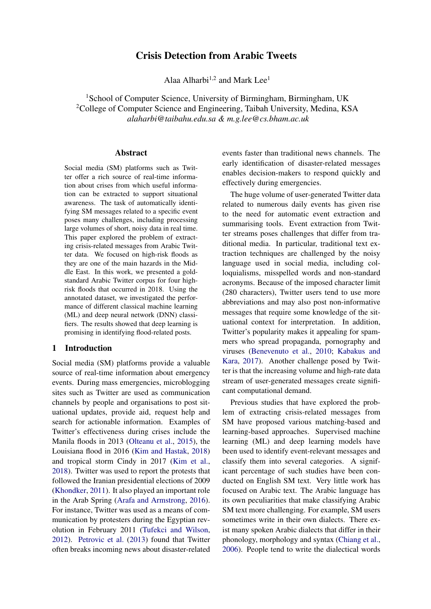# Crisis Detection from Arabic Tweets

Alaa Alharbi<sup>1,2</sup> and Mark Lee<sup>1</sup>

<span id="page-0-0"></span><sup>1</sup>School of Computer Science, University of Birmingham, Birmingham, UK <sup>2</sup>College of Computer Science and Engineering, Taibah University, Medina, KSA *alaharbi@taibahu.edu.sa & m.g.lee@cs.bham.ac.uk*

#### Abstract

Social media (SM) platforms such as Twitter offer a rich source of real-time information about crises from which useful information can be extracted to support situational awareness. The task of automatically identifying SM messages related to a specific event poses many challenges, including processing large volumes of short, noisy data in real time. This paper explored the problem of extracting crisis-related messages from Arabic Twitter data. We focused on high-risk floods as they are one of the main hazards in the Middle East. In this work, we presented a goldstandard Arabic Twitter corpus for four highrisk floods that occurred in 2018. Using the annotated dataset, we investigated the performance of different classical machine learning (ML) and deep neural network (DNN) classifiers. The results showed that deep learning is promising in identifying flood-related posts.

### <span id="page-0-1"></span>1 Introduction

Social media (SM) platforms provide a valuable source of real-time information about emergency events. During mass emergencies, microblogging sites such as Twitter are used as communication channels by people and organisations to post situational updates, provide aid, request help and search for actionable information. Examples of Twitter's effectiveness during crises include the Manila floods in 2013 [\(Olteanu et al.,](#page-7-0) [2015\)](#page-7-0), the Louisiana flood in 2016 [\(Kim and Hastak,](#page-7-1) [2018\)](#page-7-1) and tropical storm Cindy in 2017 [\(Kim et al.,](#page-7-2) [2018\)](#page-7-2). Twitter was used to report the protests that followed the Iranian presidential elections of 2009 [\(Khondker,](#page-7-3) [2011\)](#page-7-3). It also played an important role in the Arab Spring [\(Arafa and Armstrong,](#page-6-0) [2016\)](#page-6-0). For instance, Twitter was used as a means of communication by protesters during the Egyptian revolution in February 2011 [\(Tufekci and Wilson,](#page-7-4) [2012\)](#page-7-4). [Petrovic et al.](#page-7-5) [\(2013\)](#page-7-5) found that Twitter often breaks incoming news about disaster-related events faster than traditional news channels. The early identification of disaster-related messages enables decision-makers to respond quickly and effectively during emergencies.

The huge volume of user-generated Twitter data related to numerous daily events has given rise to the need for automatic event extraction and summarising tools. Event extraction from Twitter streams poses challenges that differ from traditional media. In particular, traditional text extraction techniques are challenged by the noisy language used in social media, including colloquialisms, misspelled words and non-standard acronyms. Because of the imposed character limit (280 characters), Twitter users tend to use more abbreviations and may also post non-informative messages that require some knowledge of the situational context for interpretation. In addition, Twitter's popularity makes it appealing for spammers who spread propaganda, pornography and viruses [\(Benevenuto et al.,](#page-6-1) [2010;](#page-6-1) [Kabakus and](#page-7-6) [Kara,](#page-7-6) [2017\)](#page-7-6). Another challenge posed by Twitter is that the increasing volume and high-rate data stream of user-generated messages create significant computational demand.

Previous studies that have explored the problem of extracting crisis-related messages from SM have proposed various matching-based and learning-based approaches. Supervised machine learning (ML) and deep learning models have been used to identify event-relevant messages and classify them into several categories. A significant percentage of such studies have been conducted on English SM text. Very little work has focused on Arabic text. The Arabic language has its own peculiarities that make classifying Arabic SM text more challenging. For example, SM users sometimes write in their own dialects. There exist many spoken Arabic dialects that differ in their phonology, morphology and syntax [\(Chiang et al.,](#page-6-2) [2006\)](#page-6-2). People tend to write the dialectical words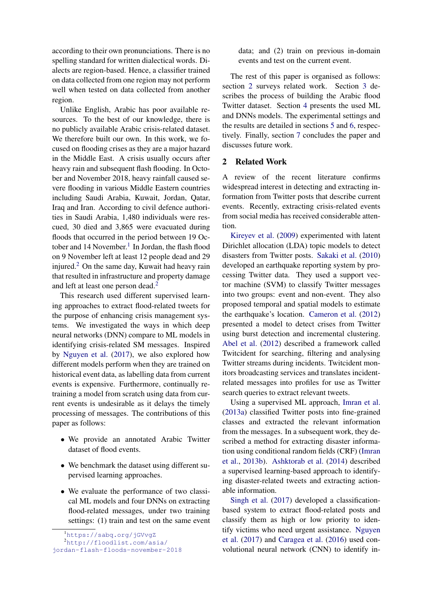according to their own pronunciations. There is no spelling standard for written dialectical words. Dialects are region-based. Hence, a classifier trained on data collected from one region may not perform well when tested on data collected from another region.

Unlike English, Arabic has poor available resources. To the best of our knowledge, there is no publicly available Arabic crisis-related dataset. We therefore built our own. In this work, we focused on flooding crises as they are a major hazard in the Middle East. A crisis usually occurs after heavy rain and subsequent flash flooding. In October and November 2018, heavy rainfall caused severe flooding in various Middle Eastern countries including Saudi Arabia, Kuwait, Jordan, Qatar, Iraq and Iran. According to civil defence authorities in Saudi Arabia, 1,480 individuals were rescued, 30 died and 3,865 were evacuated during floods that occurred in the period between 19 Oc-tober and [1](#page-0-0)4 November.<sup>1</sup> In Jordan, the flash flood on 9 November left at least 12 people dead and 29 injured.[2](#page-0-0) On the same day, Kuwait had heavy rain that resulted in infrastructure and property damage and left at least one person dead.<sup>[2](#page-0-0)</sup>

This research used different supervised learning approaches to extract flood-related tweets for the purpose of enhancing crisis management systems. We investigated the ways in which deep neural networks (DNN) compare to ML models in identifying crisis-related SM messages. Inspired by [Nguyen et al.](#page-7-7) [\(2017\)](#page-7-7), we also explored how different models perform when they are trained on historical event data, as labelling data from current events is expensive. Furthermore, continually retraining a model from scratch using data from current events is undesirable as it delays the timely processing of messages. The contributions of this paper as follows:

- We provide an annotated Arabic Twitter dataset of flood events.
- We benchmark the dataset using different supervised learning approaches.
- We evaluate the performance of two classical ML models and four DNNs on extracting flood-related messages, under two training settings: (1) train and test on the same event

data; and (2) train on previous in-domain events and test on the current event.

The rest of this paper is organised as follows: section [2](#page-1-0) surveys related work. Section [3](#page-2-0) describes the process of building the Arabic flood Twitter dataset. Section [4](#page-3-0) presents the used ML and DNNs models. The experimental settings and the results are detailed in sections [5](#page-4-0) and [6,](#page-5-0) respectively. Finally, section [7](#page-5-1) concludes the paper and discusses future work.

#### <span id="page-1-0"></span>2 Related Work

A review of the recent literature confirms widespread interest in detecting and extracting information from Twitter posts that describe current events. Recently, extracting crisis-related events from social media has received considerable attention.

[Kireyev et al.](#page-7-8) [\(2009\)](#page-7-8) experimented with latent Dirichlet allocation (LDA) topic models to detect disasters from Twitter posts. [Sakaki et al.](#page-7-9) [\(2010\)](#page-7-9) developed an earthquake reporting system by processing Twitter data. They used a support vector machine (SVM) to classify Twitter messages into two groups: event and non-event. They also proposed temporal and spatial models to estimate the earthquake's location. [Cameron et al.](#page-6-3) [\(2012\)](#page-6-3) presented a model to detect crises from Twitter using burst detection and incremental clustering. [Abel et al.](#page-6-4) [\(2012\)](#page-6-4) described a framework called Twitcident for searching, filtering and analysing Twitter streams during incidents. Twitcident monitors broadcasting services and translates incidentrelated messages into profiles for use as Twitter search queries to extract relevant tweets.

Using a supervised ML approach, [Imran et al.](#page-7-10) [\(2013a\)](#page-7-10) classified Twitter posts into fine-grained classes and extracted the relevant information from the messages. In a subsequent work, they described a method for extracting disaster information using conditional random fields (CRF) [\(Imran](#page-7-11) [et al.,](#page-7-11) [2013b\)](#page-7-11). [Ashktorab et al.](#page-6-5) [\(2014\)](#page-6-5) described a supervised learning-based approach to identifying disaster-related tweets and extracting actionable information.

[Singh et al.](#page-7-12) [\(2017\)](#page-7-12) developed a classificationbased system to extract flood-related posts and classify them as high or low priority to identify victims who need urgent assistance. [Nguyen](#page-7-7) [et al.](#page-7-7) [\(2017\)](#page-7-7) and [Caragea et al.](#page-6-6) [\(2016\)](#page-6-6) used convolutional neural network (CNN) to identify in-

<sup>1</sup><https://sabq.org/jGVvgZ>

<sup>2</sup>[http://floodlist.com/asia/](http://floodlist.com/asia/jordan-flash-floods-november-2018)

[jordan-flash-floods-november-2018](http://floodlist.com/asia/jordan-flash-floods-november-2018)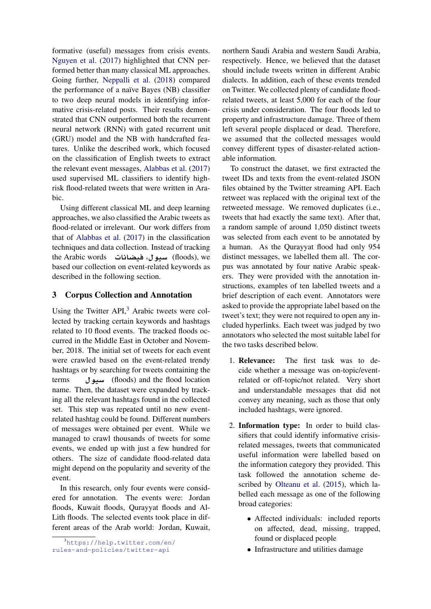formative (useful) messages from crisis events. [Nguyen et al.](#page-7-7) [\(2017\)](#page-7-7) highlighted that CNN performed better than many classical ML approaches. Going further, [Neppalli et al.](#page-7-13) [\(2018\)](#page-7-13) compared the performance of a naïve Bayes (NB) classifier to two deep neural models in identifying informative crisis-related posts. Their results demonstrated that CNN outperformed both the recurrent neural network (RNN) with gated recurrent unit (GRU) model and the NB with handcrafted features. Unlike the described work, which focused on the classification of English tweets to extract the relevant event messages, [Alabbas et al.](#page-6-7) [\(2017\)](#page-6-7) used supervised ML classifiers to identify highrisk flood-related tweets that were written in Arabic.

Using different classical ML and deep learning approaches, we also classified the Arabic tweets as flood-related or irrelevant. Our work differs from that of [Alabbas et al.](#page-6-7) [\(2017\)](#page-6-7) in the classification techniques and data collection. Instead of tracking the Arabic words **Andric words Arabic words Arabic words** based our collection on event-related keywords as described in the following section.

### <span id="page-2-0"></span>3 Corpus Collection and Annotation

Using the Twitter API,<sup>[3](#page-0-0)</sup> Arabic tweets were collected by tracking certain keywords and hashtags related to 10 flood events. The tracked floods occurred in the Middle East in October and November, 2018. The initial set of tweets for each event were crawled based on the event-related trendy hashtags or by searching for tweets containing the terms **weight** (floods) and the flood location name. Then, the dataset were expanded by tracking all the relevant hashtags found in the collected set. This step was repeated until no new eventrelated hashtag could be found. Different numbers of messages were obtained per event. While we managed to crawl thousands of tweets for some events, we ended up with just a few hundred for others. The size of candidate flood-related data might depend on the popularity and severity of the event.

In this research, only four events were considered for annotation. The events were: Jordan floods, Kuwait floods, Qurayyat floods and Al-Lith floods. The selected events took place in different areas of the Arab world: Jordan, Kuwait,

northern Saudi Arabia and western Saudi Arabia, respectively. Hence, we believed that the dataset should include tweets written in different Arabic dialects. In addition, each of these events trended on Twitter. We collected plenty of candidate floodrelated tweets, at least 5,000 for each of the four crisis under consideration. The four floods led to property and infrastructure damage. Three of them left several people displaced or dead. Therefore, we assumed that the collected messages would convey different types of disaster-related actionable information.

To construct the dataset, we first extracted the tweet IDs and texts from the event-related JSON files obtained by the Twitter streaming API. Each retweet was replaced with the original text of the retweeted message. We removed duplicates (i.e., tweets that had exactly the same text). After that, a random sample of around 1,050 distinct tweets was selected from each event to be annotated by a human. As the Qurayyat flood had only 954 distinct messages, we labelled them all. The corpus was annotated by four native Arabic speakers. They were provided with the annotation instructions, examples of ten labelled tweets and a brief description of each event. Annotators were asked to provide the appropriate label based on the tweet's text; they were not required to open any included hyperlinks. Each tweet was judged by two annotators who selected the most suitable label for the two tasks described below.

- 1. Relevance: The first task was to decide whether a message was on-topic/eventrelated or off-topic/not related. Very short and understandable messages that did not convey any meaning, such as those that only included hashtags, were ignored.
- 2. Information type: In order to build classifiers that could identify informative crisisrelated messages, tweets that communicated useful information were labelled based on the information category they provided. This task followed the annotation scheme described by [Olteanu et al.](#page-7-0) [\(2015\)](#page-7-0), which labelled each message as one of the following broad categories:
	- Affected individuals: included reports on affected, dead, missing, trapped, found or displaced people
	- Infrastructure and utilities damage

<sup>3</sup>[https://help.twitter.com/en/](https://help.twitter.com/en/rules-and-policies/twitter-api) [rules-and-policies/twitter-api](https://help.twitter.com/en/rules-and-policies/twitter-api)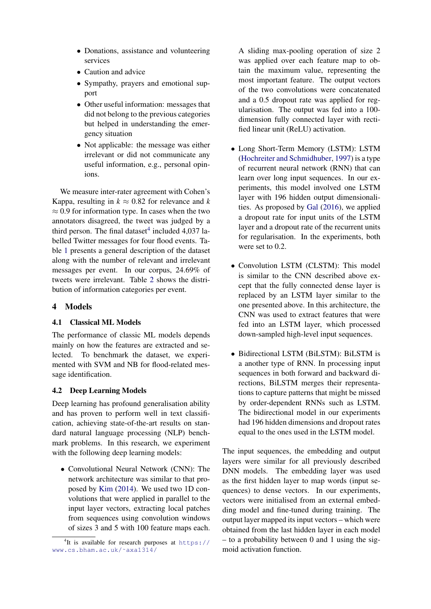- Donations, assistance and volunteering services
- Caution and advice
- Sympathy, prayers and emotional support
- Other useful information: messages that did not belong to the previous categories but helped in understanding the emergency situation
- Not applicable: the message was either irrelevant or did not communicate any useful information, e.g., personal opinions.

We measure inter-rater agreement with Cohen's Kappa, resulting in  $k \approx 0.82$  for relevance and *k*  $\approx 0.9$  for information type. In cases when the two annotators disagreed, the tweet was judged by a third person. The final dataset<sup>[4](#page-0-0)</sup> included  $4,037$  labelled Twitter messages for four flood events. Table [1](#page-4-1) presents a general description of the dataset along with the number of relevant and irrelevant messages per event. In our corpus, 24.69% of tweets were irrelevant. Table [2](#page-4-2) shows the distribution of information categories per event.

### <span id="page-3-0"></span>4 Models

### 4.1 Classical ML Models

The performance of classic ML models depends mainly on how the features are extracted and selected. To benchmark the dataset, we experimented with SVM and NB for flood-related message identification.

## 4.2 Deep Learning Models

Deep learning has profound generalisation ability and has proven to perform well in text classification, achieving state-of-the-art results on standard natural language processing (NLP) benchmark problems. In this research, we experiment with the following deep learning models:

• Convolutional Neural Network (CNN): The network architecture was similar to that proposed by [Kim](#page-7-14) [\(2014\)](#page-7-14). We used two 1D convolutions that were applied in parallel to the input layer vectors, extracting local patches from sequences using convolution windows of sizes 3 and 5 with 100 feature maps each. A sliding max-pooling operation of size 2 was applied over each feature map to obtain the maximum value, representing the most important feature. The output vectors of the two convolutions were concatenated and a 0.5 dropout rate was applied for regularisation. The output was fed into a 100 dimension fully connected layer with rectified linear unit (ReLU) activation.

- Long Short-Term Memory (LSTM): LSTM [\(Hochreiter and Schmidhuber,](#page-6-8) [1997\)](#page-6-8) is a type of recurrent neural network (RNN) that can learn over long input sequences. In our experiments, this model involved one LSTM layer with 196 hidden output dimensionalities. As proposed by [Gal](#page-6-9) [\(2016\)](#page-6-9), we applied a dropout rate for input units of the LSTM layer and a dropout rate of the recurrent units for regularisation. In the experiments, both were set to 0.2.
- Convolution LSTM (CLSTM): This model is similar to the CNN described above except that the fully connected dense layer is replaced by an LSTM layer similar to the one presented above. In this architecture, the CNN was used to extract features that were fed into an LSTM layer, which processed down-sampled high-level input sequences.
- Bidirectional LSTM (BiLSTM): BiLSTM is a another type of RNN. In processing input sequences in both forward and backward directions, BiLSTM merges their representations to capture patterns that might be missed by order-dependent RNNs such as LSTM. The bidirectional model in our experiments had 196 hidden dimensions and dropout rates equal to the ones used in the LSTM model.

The input sequences, the embedding and output layers were similar for all previously described DNN models. The embedding layer was used as the first hidden layer to map words (input sequences) to dense vectors. In our experiments, vectors were initialised from an external embedding model and fine-tuned during training. The output layer mapped its input vectors – which were obtained from the last hidden layer in each model – to a probability between 0 and 1 using the sigmoid activation function.

<sup>&</sup>lt;sup>4</sup>It is available for research purposes at [https://](https://www.cs.bham.ac.uk/~axa1314/) [www.cs.bham.ac.uk/˜axa1314/](https://www.cs.bham.ac.uk/~axa1314/)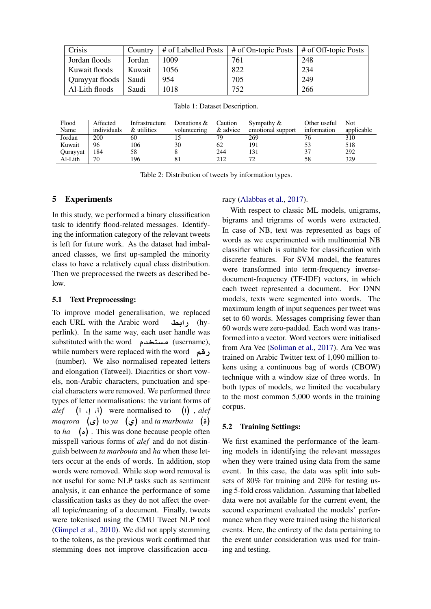<span id="page-4-1"></span>

| Crisis          | Country |      | # of Labelled Posts $\vert$ # of On-topic Posts $\vert$ # of Off-topic Posts |     |
|-----------------|---------|------|------------------------------------------------------------------------------|-----|
| Jordan floods   | Jordan  | 1009 | 761                                                                          | 248 |
| Kuwait floods   | Kuwait  | 1056 | 822                                                                          | 234 |
| Qurayyat floods | Saudi   | 954  | 705                                                                          | 249 |
| Al-Lith floods  | Saudi   | 1018 | 752                                                                          | 266 |

Table 1: Dataset Description.

<span id="page-4-2"></span>

| Flood    | Affected    | Infrastructure | Donations $&$ | Caution  | Sympathy $&$      | Other useful | <b>Not</b> |
|----------|-------------|----------------|---------------|----------|-------------------|--------------|------------|
| Name     | individuals | & utilities    | volunteering  | & advice | emotional support | information  | applicable |
| Jordan   | 200         | 60             |               | 79       | 269               |              | 310        |
| Kuwait   | 96          | 106            | 30            | 62       | 191               |              | 518        |
| Qurayyat | 184         | 58             |               | 244      | 131               | 37           | 292        |
| Al-Lith  | 70          | 196            |               | 212      | 72                | 58           | 329        |

Table 2: Distribution of tweets by information types.

#### <span id="page-4-0"></span>5 Experiments

In this study, we performed a binary classification task to identify flood-related messages. Identifying the information category of the relevant tweets is left for future work. As the dataset had imbalanced classes, we first up-sampled the minority class to have a relatively equal class distribution. Then we preprocessed the tweets as described below.

#### 5.1 Text Preprocessing:

To improve model generalisation, we replaced each URL with the Arabic word **in the Accord** (hyperlink). In the same way, each user handle was substituted with the word **مستخدم** (username), while numbers were replaced with the word (number). We also normalised repeated letters and elongation (Tatweel). Diacritics or short vowels, non-Arabic characters, punctuation and special characters were removed. We performed three types of letter normalisations: the variant forms of *alef*  $(i, j, i)$  were normalised to  $(i)$ , *alef*  $magsora$  ( $\epsilon$ ) to  $ya$  ( $\epsilon$ ) and *ta marbouta* ( $\epsilon$ ) to *ha* **(£)** . This was done because people often misspell various forms of *alef* and do not distinguish between *ta marbouta* and *ha* when these letters occur at the ends of words. In addition, stop words were removed. While stop word removal is not useful for some NLP tasks such as sentiment analysis, it can enhance the performance of some classification tasks as they do not affect the overall topic/meaning of a document. Finally, tweets were tokenised using the CMU Tweet NLP tool [\(Gimpel et al.,](#page-6-10) [2010\)](#page-6-10). We did not apply stemming to the tokens, as the previous work confirmed that stemming does not improve classification accu-

#### racy [\(Alabbas et al.,](#page-6-7) [2017\)](#page-6-7).

With respect to classic ML models, unigrams, bigrams and trigrams of words were extracted. In case of NB, text was represented as bags of words as we experimented with multinomial NB classifier which is suitable for classification with discrete features. For SVM model, the features were transformed into term-frequency inversedocument-frequency (TF-IDF) vectors, in which each tweet represented a document. For DNN models, texts were segmented into words. The maximum length of input sequences per tweet was set to 60 words. Messages comprising fewer than 60 words were zero-padded. Each word was transformed into a vector. Word vectors were initialised from Ara Vec [\(Soliman et al.,](#page-7-15) [2017\)](#page-7-15). Ara Vec was trained on Arabic Twitter text of 1,090 million tokens using a continuous bag of words (CBOW) technique with a window size of three words. In both types of models, we limited the vocabulary to the most common 5,000 words in the training corpus.

### 5.2 Training Settings:

We first examined the performance of the learning models in identifying the relevant messages when they were trained using data from the same event. In this case, the data was split into subsets of 80% for training and 20% for testing using 5-fold cross validation. Assuming that labelled data were not available for the current event, the second experiment evaluated the models' performance when they were trained using the historical events. Here, the entirety of the data pertaining to the event under consideration was used for training and testing.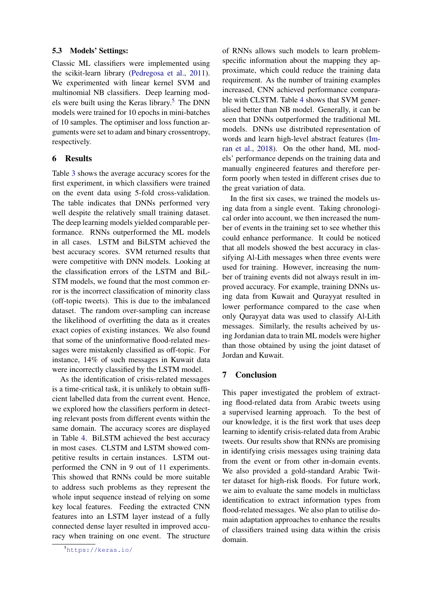#### 5.3 Models' Settings:

Classic ML classifiers were implemented using the scikit-learn library [\(Pedregosa et al.,](#page-7-16) [2011\)](#page-7-16). We experimented with linear kernel SVM and multinomial NB classifiers. Deep learning models were built using the Keras library. $5$  The DNN models were trained for 10 epochs in mini-batches of 10 samples. The optimiser and loss function arguments were set to adam and binary crossentropy, respectively.

#### <span id="page-5-0"></span>6 Results

Table [3](#page-6-11) shows the average accuracy scores for the first experiment, in which classifiers were trained on the event data using 5-fold cross-validation. The table indicates that DNNs performed very well despite the relatively small training dataset. The deep learning models yielded comparable performance. RNNs outperformed the ML models in all cases. LSTM and BiLSTM achieved the best accuracy scores. SVM returned results that were competitive with DNN models. Looking at the classification errors of the LSTM and BiL-STM models, we found that the most common error is the incorrect classification of minority class (off-topic tweets). This is due to the imbalanced dataset. The random over-sampling can increase the likelihood of overfitting the data as it creates exact copies of existing instances. We also found that some of the uninformative flood-related messages were mistakenly classified as off-topic. For instance, 14% of such messages in Kuwait data were incorrectly classified by the LSTM model.

As the identification of crisis-related messages is a time-critical task, it is unlikely to obtain sufficient labelled data from the current event. Hence, we explored how the classifiers perform in detecting relevant posts from different events within the same domain. The accuracy scores are displayed in Table [4.](#page-6-12) BiLSTM achieved the best accuracy in most cases. CLSTM and LSTM showed competitive results in certain instances. LSTM outperformed the CNN in 9 out of 11 experiments. This showed that RNNs could be more suitable to address such problems as they represent the whole input sequence instead of relying on some key local features. Feeding the extracted CNN features into an LSTM layer instead of a fully connected dense layer resulted in improved accuracy when training on one event. The structure

of RNNs allows such models to learn problemspecific information about the mapping they approximate, which could reduce the training data requirement. As the number of training examples increased, CNN achieved performance comparable with CLSTM. Table [4](#page-6-12) shows that SVM generalised better than NB model. Generally, it can be seen that DNNs outperformed the traditional ML models. DNNs use distributed representation of words and learn high-level abstract features [\(Im](#page-6-13)[ran et al.,](#page-6-13) [2018\)](#page-6-13). On the other hand, ML models' performance depends on the training data and manually engineered features and therefore perform poorly when tested in different crises due to the great variation of data.

In the first six cases, we trained the models using data from a single event. Taking chronological order into account, we then increased the number of events in the training set to see whether this could enhance performance. It could be noticed that all models showed the best accuracy in classifying Al-Lith messages when three events were used for training. However, increasing the number of training events did not always result in improved accuracy. For example, training DNNs using data from Kuwait and Qurayyat resulted in lower performance compared to the case when only Qurayyat data was used to classify Al-Lith messages. Similarly, the results acheived by using Jordanian data to train ML models were higher than those obtained by using the joint dataset of Jordan and Kuwait.

#### <span id="page-5-1"></span>7 Conclusion

This paper investigated the problem of extracting flood-related data from Arabic tweets using a supervised learning approach. To the best of our knowledge, it is the first work that uses deep learning to identify crisis-related data from Arabic tweets. Our results show that RNNs are promising in identifying crisis messages using training data from the event or from other in-domain events. We also provided a gold-standard Arabic Twitter dataset for high-risk floods. For future work, we aim to evaluate the same models in multiclass identification to extract information types from flood-related messages. We also plan to utilise domain adaptation approaches to enhance the results of classifiers trained using data within the crisis domain.

<sup>5</sup><https://keras.io/>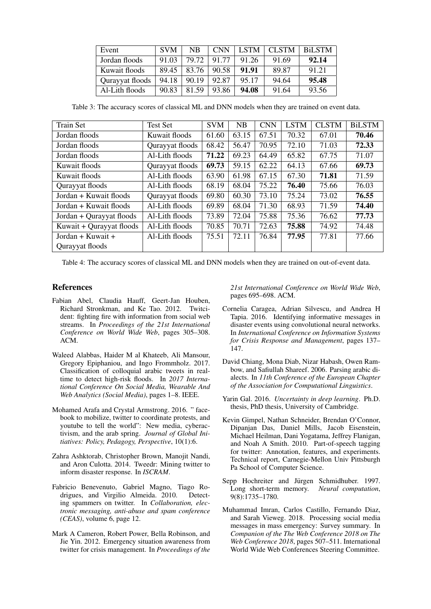<span id="page-6-11"></span>

| Event           | <b>SVM</b> | NB.   | <b>CNN</b> | <b>LSTM</b> | <b>CLSTM</b> | BiLSTM |
|-----------------|------------|-------|------------|-------------|--------------|--------|
| Jordan floods   | 91.03      | 79.72 | 91.77      | 91.26       | 91.69        | 92.14  |
| Kuwait floods   | 89.45      | 83.76 | 90.58      | 91.91       | 89.87        | 91.21  |
| Qurayyat floods | 94.18      | 90.19 | 92.87      | 95.17       | 94.64        | 95.48  |
| Al-Lith floods  | 90.83      | 81.59 | 93.86      | 94.08       | 91.64        | 93.56  |

Table 3: The accuracy scores of classical ML and DNN models when they are trained on event data.

<span id="page-6-12"></span>

| <b>Train Set</b>                    | <b>Test Set</b> | <b>SVM</b> | <b>NB</b> | <b>CNN</b> | <b>LSTM</b> | <b>CLSTM</b> | <b>BiLSTM</b> |
|-------------------------------------|-----------------|------------|-----------|------------|-------------|--------------|---------------|
| Jordan floods                       | Kuwait floods   | 61.60      | 63.15     | 67.51      | 70.32       | 67.01        | 70.46         |
| Jordan floods                       | Qurayyat floods | 68.42      | 56.47     | 70.95      | 72.10       | 71.03        | 72.33         |
| Jordan floods                       | Al-Lith floods  | 71.22      | 69.23     | 64.49      | 65.82       | 67.75        | 71.07         |
| Kuwait floods                       | Qurayyat floods | 69.73      | 59.15     | 62.22      | 64.13       | 67.66        | 69.73         |
| Kuwait floods                       | Al-Lith floods  | 63.90      | 61.98     | 67.15      | 67.30       | 71.81        | 71.59         |
| Qurayyat floods                     | Al-Lith floods  | 68.19      | 68.04     | 75.22      | 76.40       | 75.66        | 76.03         |
| Jordan + Kuwait floods              | Qurayyat floods | 69.80      | 60.30     | 73.10      | 75.24       | 73.02        | 76.55         |
| Jordan + Kuwait floods              | Al-Lith floods  | 69.89      | 68.04     | 71.30      | 68.93       | 71.59        | 74.40         |
| Jordan + Qurayyat floods            | Al-Lith floods  | 73.89      | 72.04     | 75.88      | 75.36       | 76.62        | 77.73         |
| Kuwait + Qurayyat floods            | Al-Lith floods  | 70.85      | 70.71     | 72.63      | 75.88       | 74.92        | 74.48         |
| Jordan + Kuwait +<br>Al-Lith floods |                 | 75.51      | 72.11     | 76.84      | 77.95       | 77.81        | 77.66         |
| Qurayyat floods                     |                 |            |           |            |             |              |               |

Table 4: The accuracy scores of classical ML and DNN models when they are trained on out-of-event data.

#### References

- <span id="page-6-4"></span>Fabian Abel, Claudia Hauff, Geert-Jan Houben, Richard Stronkman, and Ke Tao. 2012. Twitcident: fighting fire with information from social web streams. In *Proceedings of the 21st International Conference on World Wide Web*, pages 305–308. ACM.
- <span id="page-6-7"></span>Waleed Alabbas, Haider M al Khateeb, Ali Mansour, Gregory Epiphaniou, and Ingo Frommholz. 2017. Classification of colloquial arabic tweets in realtime to detect high-risk floods. In *2017 International Conference On Social Media, Wearable And Web Analytics (Social Media)*, pages 1–8. IEEE.
- <span id="page-6-0"></span>Mohamed Arafa and Crystal Armstrong. 2016. " facebook to mobilize, twitter to coordinate protests, and youtube to tell the world": New media, cyberactivism, and the arab spring. *Journal of Global Initiatives: Policy, Pedagogy, Perspective*, 10(1):6.
- <span id="page-6-5"></span>Zahra Ashktorab, Christopher Brown, Manojit Nandi, and Aron Culotta. 2014. Tweedr: Mining twitter to inform disaster response. In *ISCRAM*.
- <span id="page-6-1"></span>Fabricio Benevenuto, Gabriel Magno, Tiago Rodrigues, and Virgilio Almeida. 2010. Detecting spammers on twitter. In *Collaboration, electronic messaging, anti-abuse and spam conference (CEAS)*, volume 6, page 12.
- <span id="page-6-3"></span>Mark A Cameron, Robert Power, Bella Robinson, and Jie Yin. 2012. Emergency situation awareness from twitter for crisis management. In *Proceedings of the*

*21st International Conference on World Wide Web*, pages 695–698. ACM.

- <span id="page-6-6"></span>Cornelia Caragea, Adrian Silvescu, and Andrea H Tapia. 2016. Identifying informative messages in disaster events using convolutional neural networks. In *International Conference on Information Systems for Crisis Response and Management*, pages 137– 147.
- <span id="page-6-2"></span>David Chiang, Mona Diab, Nizar Habash, Owen Rambow, and Safiullah Shareef. 2006. Parsing arabic dialects. In *11th Conference of the European Chapter of the Association for Computational Linguistics*.
- <span id="page-6-9"></span>Yarin Gal. 2016. *Uncertainty in deep learning*. Ph.D. thesis, PhD thesis, University of Cambridge.
- <span id="page-6-10"></span>Kevin Gimpel, Nathan Schneider, Brendan O'Connor, Dipanjan Das, Daniel Mills, Jacob Eisenstein, Michael Heilman, Dani Yogatama, Jeffrey Flanigan, and Noah A Smith. 2010. Part-of-speech tagging for twitter: Annotation, features, and experiments. Technical report, Carnegie-Mellon Univ Pittsburgh Pa School of Computer Science.
- <span id="page-6-8"></span>Sepp Hochreiter and Jürgen Schmidhuber. 1997. Long short-term memory. *Neural computation*, 9(8):1735–1780.
- <span id="page-6-13"></span>Muhammad Imran, Carlos Castillo, Fernando Diaz, and Sarah Vieweg. 2018. Processing social media messages in mass emergency: Survey summary. In *Companion of the The Web Conference 2018 on The Web Conference 2018*, pages 507–511. International World Wide Web Conferences Steering Committee.